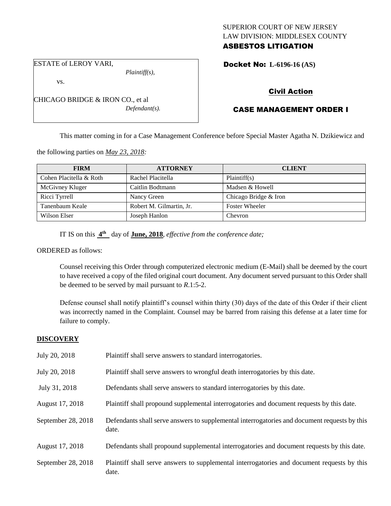### SUPERIOR COURT OF NEW JERSEY LAW DIVISION: MIDDLESEX COUNTY ASBESTOS LITIGATION

ESTATE of LEROY VARI,

vs.

*Plaintiff(s),*

*Defendant(s).*

Docket No: **L-6196-16 (AS)** 

## Civil Action

## CASE MANAGEMENT ORDER I

This matter coming in for a Case Management Conference before Special Master Agatha N. Dzikiewicz and

the following parties on *May 23, 2018:*

CHICAGO BRIDGE & IRON CO., et al

| <b>FIRM</b>             | <b>ATTORNEY</b>          | <b>CLIENT</b>         |
|-------------------------|--------------------------|-----------------------|
| Cohen Placitella & Roth | Rachel Placitella        | Plaintiff(s)          |
| McGivney Kluger         | Caitlin Bodtmann         | Madsen & Howell       |
| Ricci Tyrrell           | Nancy Green              | Chicago Bridge & Iron |
| Tanenbaum Keale         | Robert M. Gilmartin, Jr. | <b>Foster Wheeler</b> |
| Wilson Elser            | Joseph Hanlon            | Chevron               |

IT IS on this  $4^{\text{th}}$  day of **June, 2018**, *effective from the conference date*;

#### ORDERED as follows:

Counsel receiving this Order through computerized electronic medium (E-Mail) shall be deemed by the court to have received a copy of the filed original court document. Any document served pursuant to this Order shall be deemed to be served by mail pursuant to *R*.1:5-2.

Defense counsel shall notify plaintiff's counsel within thirty (30) days of the date of this Order if their client was incorrectly named in the Complaint. Counsel may be barred from raising this defense at a later time for failure to comply.

### **DISCOVERY**

| July 20, 2018      | Plaintiff shall serve answers to standard interrogatories.                                            |
|--------------------|-------------------------------------------------------------------------------------------------------|
| July 20, 2018      | Plaintiff shall serve answers to wrongful death interrogatories by this date.                         |
| July 31, 2018      | Defendants shall serve answers to standard interrogatories by this date.                              |
| August 17, 2018    | Plaintiff shall propound supplemental interrogatories and document requests by this date.             |
| September 28, 2018 | Defendants shall serve answers to supplemental interrogatories and document requests by this<br>date. |
| August 17, 2018    | Defendants shall propound supplemental interrogatories and document requests by this date.            |
| September 28, 2018 | Plaintiff shall serve answers to supplemental interrogatories and document requests by this<br>date.  |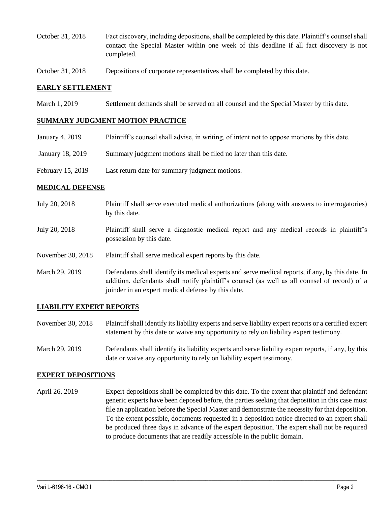- October 31, 2018 Fact discovery, including depositions, shall be completed by this date. Plaintiff's counsel shall contact the Special Master within one week of this deadline if all fact discovery is not completed.
- October 31, 2018 Depositions of corporate representatives shall be completed by this date.

#### **EARLY SETTLEMENT**

March 1, 2019 Settlement demands shall be served on all counsel and the Special Master by this date.

### **SUMMARY JUDGMENT MOTION PRACTICE**

| January 4, 2019   | Plaintiff's counsel shall advise, in writing, of intent not to oppose motions by this date. |
|-------------------|---------------------------------------------------------------------------------------------|
| January 18, 2019  | Summary judgment motions shall be filed no later than this date.                            |
| February 15, 2019 | Last return date for summary judgment motions.                                              |

### **MEDICAL DEFENSE**

- July 20, 2018 Plaintiff shall serve executed medical authorizations (along with answers to interrogatories) by this date.
- July 20, 2018 Plaintiff shall serve a diagnostic medical report and any medical records in plaintiff's possession by this date.
- November 30, 2018 Plaintiff shall serve medical expert reports by this date.
- March 29, 2019 Defendants shall identify its medical experts and serve medical reports, if any, by this date. In addition, defendants shall notify plaintiff's counsel (as well as all counsel of record) of a joinder in an expert medical defense by this date.

### **LIABILITY EXPERT REPORTS**

- November 30, 2018 Plaintiff shall identify its liability experts and serve liability expert reports or a certified expert statement by this date or waive any opportunity to rely on liability expert testimony.
- March 29, 2019 Defendants shall identify its liability experts and serve liability expert reports, if any, by this date or waive any opportunity to rely on liability expert testimony.

#### **EXPERT DEPOSITIONS**

April 26, 2019 Expert depositions shall be completed by this date. To the extent that plaintiff and defendant generic experts have been deposed before, the parties seeking that deposition in this case must file an application before the Special Master and demonstrate the necessity for that deposition. To the extent possible, documents requested in a deposition notice directed to an expert shall be produced three days in advance of the expert deposition. The expert shall not be required to produce documents that are readily accessible in the public domain.

 $\_$  ,  $\_$  ,  $\_$  ,  $\_$  ,  $\_$  ,  $\_$  ,  $\_$  ,  $\_$  ,  $\_$  ,  $\_$  ,  $\_$  ,  $\_$  ,  $\_$  ,  $\_$  ,  $\_$  ,  $\_$  ,  $\_$  ,  $\_$  ,  $\_$  ,  $\_$  ,  $\_$  ,  $\_$  ,  $\_$  ,  $\_$  ,  $\_$  ,  $\_$  ,  $\_$  ,  $\_$  ,  $\_$  ,  $\_$  ,  $\_$  ,  $\_$  ,  $\_$  ,  $\_$  ,  $\_$  ,  $\_$  ,  $\_$  ,